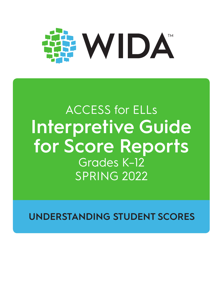

# ACCESS for ELLs **Interpretive Guide for Score Reports** Grades K–12 SPRING 2022

**UNDERSTANDING STUDENT SCORES**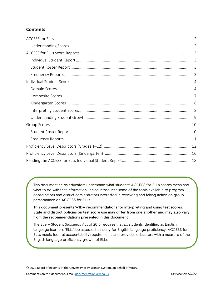#### **Contents**

This document helps educators understand what students' ACCESS for ELLs scores mean and what to do with that information. It also introduces some of the tools available to program coordinators and district administrators interested in reviewing and taking action on group performance on ACCESS for ELLs.

**This document presents WIDA recommendations for interpreting and using test scores. State and district policies on test score use may differ from one another and may also vary from the recommendations presented in this document.**

The Every Student Succeeds Act of 2015 requires that all students identified as English language learners (ELLs) be assessed annually for English language proficiency. ACCESS for ELLs meets federal accountability requirements and provides educators with a measure of the English language proficiency growth of ELLs.

© 2022 Board of Regents of the University of Wisconsin System, on behalf of WIDA.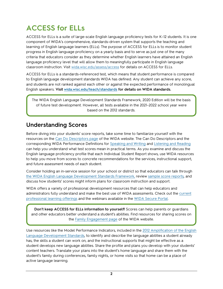## <span id="page-2-0"></span>**ACCESS for ELLs**

ACCESS for ELLs is a suite of large-scale English language proficiency tests for K–12 students. It is one component of WIDA's comprehensive, standards-driven system that supports the teaching and learning of English language learners (ELLs). The purpose of ACCESS for ELLs is to monitor student progress in English language proficiency on a yearly basis and to serve as just one of the many criteria that educators consider as they determine whether English learners have attained an English language proficiency level that will allow them to meaningfully participate in English language classroom instruction. Visit [wida.wisc.edu/assess/access](https://wida.wisc.edu/assess/access) for details on ACCESS for ELLs.

ACCESS for ELLs is a standards-referenced test, which means that student performance is compared to English language development standards WIDA has defined. Any student can achieve any score, and students are not ranked against each other or against the expected performance of monolingual English speakers. **Visit [wida.wisc.edu/teach/standards](https://wida.wisc.edu/teach/standards) for details on WIDA standards.**

The WIDA English Language Development Standards Framework, 2020 Edition will be the basis of future test development. However, all tests available in the 2021–2022 school year were based on the 2012 standards.

## <span id="page-2-1"></span>**Understanding Scores**

Before diving into your students' score reports, take some time to familiarize yourself with the resources on the [Can Do Descriptors page](https://wida.wisc.edu/teach/can-do/descriptors) of the WIDA website. The Can Do Descriptors and the corresponding WIDA Performance Definitions for [Speaking and Writing](https://wida.wisc.edu/resources/performance-definitions-expressive-domains) and [Listening and Reading](https://wida.wisc.edu/resources/performance-definitions-receptive-domains) can help you understand what test scores mean in practical terms. As you examine and discuss the English language proficiency profile that each Individual Student Report shows, use WIDA resources to help you move from scores to concrete recommendations for the services, instructional support, and future assessment needs of each student.

Consider holding an in-service session for your school or district so that educators can talk through [the WIDA English Language Development Standards Framework,](https://wida.wisc.edu/teach/standards/) revie[w sample score reports,](https://wida.wisc.edu/assess/access/scores-reports) and discuss how students' scores might inform plans for classroom instruction and support.

WIDA offers a variety of professional development resources that can help educators and administrators fully understand and make the best use of WIDA assessments. Check out the [current](https://wida.wisc.edu/grow)  [professional learning offerings](https://wida.wisc.edu/grow) and the webinars available in the [WIDA Secure Portal.](https://portal.wida.us/)

**Don't keep ACCESS for ELLs information to yourself!** Scores can help parents or guardians and other educators better understand a student's abilities. Find resources for sharing scores on the [Family Engagement page](https://wida.wisc.edu/teach/learners/engagement) of the WIDA website.

Use resources like the Model Performance Indicators, included in the [2012 Amplification of the English](https://wida.wisc.edu/resources/2012-amplification-wida-english-language-development-standards)  [Language Development Standards,](https://wida.wisc.edu/resources/2012-amplification-wida-english-language-development-standards) to identify and describe the language abilities a student already has, the skills a student can work on, and the instructional supports that might be effective as a student develops new language abilities. Share the profile and plans you develop with your students' content teachers. Translate your plans into the student's home language and share them with the student's family during conferences, family nights, or home visits so that home can be a place of active language learning.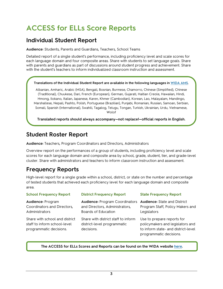## <span id="page-3-0"></span>**ACCESS for ELLs Score Reports**

### <span id="page-3-1"></span>**Individual Student Report**

**Audience:** Students, Parents and Guardians, Teachers, School Teams

Detailed report of a single student's performance, including proficiency level and scale scores for each language domain and four composite areas. Share with students to set language goals. Share with parents and guardians as part of discussions around student progress and achievement. Share with the student's teachers to inform individualized classroom instruction and assessment.

#### **Translations of the Individual Student Report are available in the following languages i[n WIDA AMS.](https://www.drcedirect.com/all/eca-portal-ui/welcome/WIDA)**

Albanian, Amharic, Arabic (MSA), Bengali, Bosnian, Burmese, Chamorro, Chinese (Simplified), Chinese (Traditional), Chuukese, Dari, French (European), German, Gujarati, Haitian Creole, Hawaiian, Hindi, Hmong, Ilokano, Italian, Japanese, Karen, Khmer (Cambodian), Korean, Lao, Malayalam, Mandingo, Marshallese, Nepali, Pashto, Polish, Portuguese (Brazilian), Punjabi, Romanian, Russian, Samoan, Serbian, Somali, Spanish (International), Swahili, Tagalog, Telugu, Tongan, Turkish, Ukrainian, Urdu, Vietnamese, Wolof

**Translated reports should always accompany—not replace!—official reports in English.**

### <span id="page-3-2"></span>**Student Roster Report**

**Audience:** Teachers, Program Coordinators and Directors, Administrators

Overview report on the performances of a group of students, including proficiency level and scale scores for each language domain and composite area by school, grade, student, tier, and grade-level cluster. Share with administrators and teachers to inform classroom instruction and assessment.

## <span id="page-3-3"></span>**Frequency Reports**

High-level report for a single grade within a school, district, or state on the number and percentage of tested students that achieved each proficiency level for each language domain and composite area.

| <b>School Frequency Report</b>                                                            | <b>District Frequency Report</b>                                                               | <b>State Frequency Report</b>                                                                                                    |
|-------------------------------------------------------------------------------------------|------------------------------------------------------------------------------------------------|----------------------------------------------------------------------------------------------------------------------------------|
| Audience: Program<br>Coordinators and Directors,<br>Administrators                        | <b>Audience: Program Coordinators</b><br>and Directors, Administrators,<br>Boards of Education | <b>Audience: State and District</b><br>Program Staff, Policy Makers and<br>Legislators                                           |
| Share with school and district<br>staff to inform school-level<br>programmatic decisions. | Share with district staff to inform<br>district-level programmatic<br>decisions.               | Use to prepare reports for<br>policymakers and legislators and<br>to inform state- and district-level<br>programmatic decisions. |

#### **The ACCESS for ELLs Scores and Reports can be found on the WIDA website [here.](https://wida.wisc.edu/assess/access/scores-reports)**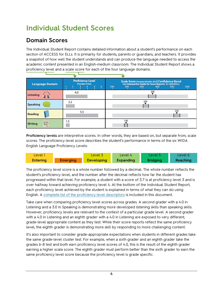## <span id="page-4-0"></span>**Individual Student Scores**

## <span id="page-4-1"></span>**Domain Scores**

The Individual Student Report contains detailed information about a student's performance on each section of ACCESS for ELLs. It is primarily for students, parents or guardians, and teachers. It provides a snapshot of how well the student understands and can produce the language needed to access the academic content presented in an English-medium classroom. The Individual Student Report shows a proficiency level and a scale score for each of the four language domains.

| <b>Language Domain</b>       | <b>Proficiency Level</b><br>(Possible 1.0-6.0)<br>6 | Scale Score (Possible 100-600) and Confidence Band<br>See Interpretive Guide for Score Reports for definitions<br>100<br>600<br>200<br>300<br>400<br>500 |  |  |  |  |
|------------------------------|-----------------------------------------------------|----------------------------------------------------------------------------------------------------------------------------------------------------------|--|--|--|--|
| <b>Listening</b>             | 4.0                                                 | 368                                                                                                                                                      |  |  |  |  |
| <b>Speaking</b>              | 2.2                                                 | 320                                                                                                                                                      |  |  |  |  |
| 530<br>5.5<br><b>Reading</b> |                                                     |                                                                                                                                                          |  |  |  |  |
| 噩<br><b>Writing</b>          | 1.5                                                 | 190                                                                                                                                                      |  |  |  |  |

**Proficiency levels** are interpretive scores. In other words, they are based on, but separate from, scale scores. The proficiency level score describes the student's performance in terms of the six WIDA English Language Proficiency Levels:



The proficiency level score is a whole number followed by a decimal. The whole number reflects the student's proficiency level, and the number after the decimal reflects how far the student has progressed within that level. For example, a student with a score of 3.7 is at proficiency level 3 and is over halfway toward achieving proficiency level 4. At the bottom of the Individual Student Report, each proficiency level achieved by the student is explained in terms of what they can do using English. A complete [list of the proficiency](#page-12-0) level descriptors is included in this document.

Take care when comparing proficiency level scores across grades. A second grader with a 4.0 in Listening and a 3.0 in Speaking is demonstrating more developed listening skills than speaking skills. However, proficiency levels are relevant to the context of a particular grade level. A second grader with a 4.0 in Listening and an eighth grader with a 4.0 in Listening are exposed to very different, grade-level appropriate content as they test. While their score reports reflect the same proficiency level, the eighth grader is demonstrating more skill by responding to more challenging content.

It's also important to consider grade-appropriate expectations when students in different grades take the same grade-level cluster test. For example, when a sixth grader and an eighth grader take the grades 6–8 test and both earn proficiency level scores of 4.0, this is the result of the eighth grader earning a higher scale score. The eighth grader must perform better than the sixth grader to earn the same proficiency level score because the proficiency level is grade specific.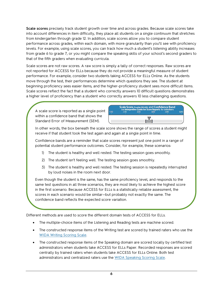**Scale scores** precisely track student growth over time and across grades. Because scale scores take into account differences in item difficulty, they place all students on a single continuum that stretches from kindergarten through grade 12. In addition, scale scores allow you to compare student performance across grades, within each domain, with more granularity than you'll see with proficiency levels. For example, using scale scores, you can track how much a student's listening ability increases from grade 6 to grade 7, or you might compare the speaking skills of your school's second graders to that of the fifth graders when evaluating curricula.

Scale scores are not raw scores. A raw score is simply a tally of correct responses. Raw scores are not reported for ACCESS for ELLs because they do not provide a meaningful measure of student performance. For example, consider two students taking ACCESS for ELLs Online. As the students move through the test, their performances determine which questions they see. The student at beginning proficiency sees easier items, and the higher-proficiency student sees more difficult items. Scale scores reflect the fact that a student who correctly answers 10 difficult questions demonstrates a higher level of proficiency than a student who correctly answers 10 less challenging questions.

A scale score is reported as a single point within a confidence band that shows the Standard Error of Measurement (SEM).



In other words, the box beneath the scale score shows the range of scores a student might receive if that student took the test again and again at a single point in time.

Confidence bands are a reminder that scale scores represent just one point in a range of potential student performance outcomes. Consider, for example, these scenarios:

- 1) The student is healthy and well rested. The testing session goes smoothly.
- 2) The student isn't feeling well. The testing session goes smoothly.
- 3) The student is healthy and well rested. The testing session is repeatedly interrupted by loud noises in the room next door.

Even though the student is the same, has the same proficiency level, and responds to the same test questions in all three scenarios, they are most likely to achieve the highest score in the first scenario. Because ACCESS for ELLs is a statistically reliable assessment, the scores in each scenario would be similar—but probably not exactly the same. The confidence band reflects the expected score variation.

Different methods are used to score the different domain tests of ACCESS for ELLs.

- The multiple-choice items of the Listening and Reading tests are machine scored.
- The constructed response items of the Writing test are scored by trained raters who use the [WIDA Writing Scoring Scale.](https://wida.wisc.edu/resources/wida-writing-scoring-scale-grades-1-12)
- The constructed response items of the Speaking domain are scored locally by certified test administrators when students take ACCESS for ELLs Paper. Recorded responses are scored centrally by trained raters when students take ACCESS for ELLs Online. Both test administrators and centralized raters use the [WIDA Speaking Scoring Scale.](https://wida.wisc.edu/resources/wida-speaking-scoring-scale-grades-1-12)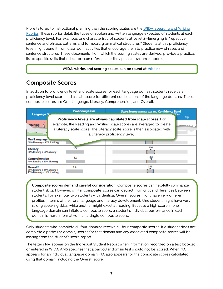More tailored to instructional planning than the scoring scales are the [WIDA Speaking and Writing](https://wida.wisc.edu/resources?keys=rubric&field_category%5B346%5D=346&field_category%5B347%5D=347)  [Rubrics.](https://wida.wisc.edu/resources?keys=rubric&field_category%5B346%5D=346&field_category%5B347%5D=347) These rubrics detail the types of spoken and written language expected of students at each proficiency level. For example, one characteristic of students at Level 2—Emerging is "repetitive sentence and phrasal patterns and formulaic grammatical structures." Students at this proficiency level might benefit from classroom activities that encourage them to practice new phrases and sentence structures. These documents, from which the scoring scales are derived, provide a practical list of specific skills that educators can reference as they plan classroom supports.

#### **WIDA rubrics and scoring scales can be found at [this link.](https://wida.wisc.edu/resources?keys=rubric)**

## <span id="page-7-0"></span>**Composite Scores**

In addition to proficiency level and scale scores for each language domain, students receive a proficiency level score and a scale score for different combinations of the language domains. These composite scores are Oral Language, Literacy, Comprehension, and Overall.

|                                                                                | <b>Proficiency Level</b> | Scale Score (Possible100-600) and Confidence Band                                                                                                                                                                                                    |             |
|--------------------------------------------------------------------------------|--------------------------|------------------------------------------------------------------------------------------------------------------------------------------------------------------------------------------------------------------------------------------------------|-------------|
| <b>Language D</b><br><i>istening</i>                                           |                          | Proficiency levels are always calculated from scale scores. For<br>example, the Reading and Writing scale scores are averaged to create<br>a Literacy scale score. The Literacy scale score is then associated with<br>a Literacy proficiency level. | ions<br>600 |
| <b>Oral Language</b><br>50% Listening + 50% Speaking                           |                          |                                                                                                                                                                                                                                                      |             |
| <b>Literacy</b><br>50% Reading + 50% Writing                                   | 3.5                      | 356                                                                                                                                                                                                                                                  |             |
| <b>Comprehension</b><br>70% Reading + 30% Listening                            | 3.7                      | 360                                                                                                                                                                                                                                                  |             |
| Overall*<br>$35\%$ Reading $+35\%$ Writing $+$<br>15% Listening + 15% Speaking | 3.4                      | 352                                                                                                                                                                                                                                                  |             |

**Composite scores demand careful consideration.** Composite scores can helpfully summarize student skills. However, similar composite scores can detract from critical differences between students. For example, two students with identical Overall scores might have very different profiles in terms of their oral language and literacy development. One student might have very strong speaking skills, while another might excel at reading. Because a high score in one language domain can inflate a composite score, a student's individual performance in each domain is more informative than a single composite score.

Only students who complete all four domains receive all four composite scores. If a student does not complete a particular domain, scores for that domain and any associated composite scores will be missing from the student's score report.

The letters NA appear on the Individual Student Report when information recorded on a test booklet or entered in WIDA AMS specifies that a particular domain test should not be scored. When NA appears for an individual language domain, NA also appears for the composite scores calculated using that domain, including the Overall score.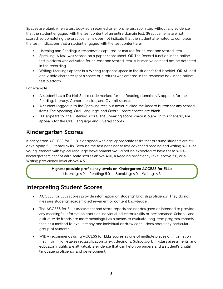Spaces are blank when a test booklet is returned or an online test submitted without any evidence that the student engaged with the test content of an entire domain test. (Practice items are not scored, so completing the practice items does not indicate that the student attempted to complete the test.) Indications that a student engaged with the test content are:

- Listening and Reading: A response is captured or marked for at least one scored item.
- Speaking: A task was scored on a paper score sheet. **OR** The Record function in the online test platform was activated for at least one scored item. A human voice need not be detected in the recording.
- Writing: Markings appear in a Writing response space in the student's test booklet. **OR** At least one visible character (not a space or a return) was entered in the response box in the online test platform.

For example:

- A student has a Do Not Score code marked for the Reading domain. NA appears for the Reading, Literacy, Comprehension, and Overall scores.
- A student logged in to the Speaking test, but never clicked the Record button for any scored items. The Speaking, Oral Language, and Overall score spaces are blank.
- NA appears for the Listening score. The Speaking score space is blank. In this scenario, NA appears for the Oral Language and Overall scores.

## <span id="page-8-0"></span>**Kindergarten Scores**

Kindergarten ACCESS for ELLs is designed with age-appropriate tasks that presume students are still developing full literacy skills. Because the test does not assess advanced reading and writing skills—as young learners with typical language development would not be expected to have these skills kindergartners cannot earn scale scores above 400, a Reading proficiency level above 5.0, or a Writing proficiency level above 4.5.

> **Highest possible proficiency levels on Kindergarten ACCESS for ELLs:** Listening: 6.0 Reading: 5.0 Speaking: 6.0 Writing: 4.5

## <span id="page-8-1"></span>**Interpreting Student Scores**

- ACCESS for ELLs scores provide information on students' English proficiency. They do not measure students' academic achievement or content knowledge.
- The ACCESS for ELLs assessment and score reports are not designed or intended to provide any meaningful information about an individual educator's skills or performance. School- and district-wide trends are more meaningful as a means to evaluate long-term program impacts than as a method to evaluate any one individual or draw conclusions about any particular group of students.
- WIDA recommends using ACCESS for ELLs scores as one of multiple pieces of information that inform high-stakes reclassification or exit decisions. Schoolwork, in-class assessments, and educator insights are all valuable evidence that can help you understand a student's English language proficiency and development.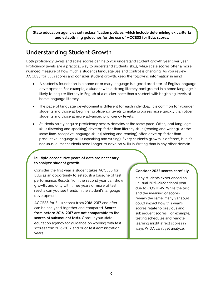**State education agencies set reclassification policies, which include determining exit criteria and establishing guidelines for the use of ACCESS for ELLs scores.**

## <span id="page-9-0"></span>**Understanding Student Growth**

Both proficiency levels and scale scores can help you understand student growth year over year. Proficiency levels are a practical way to understand students' skills, while scale scores offer a more nuanced measure of how much a student's language use and control is changing. As you review ACCESS for ELLs scores and consider student growth, keep the following information in mind:

- A student's foundation in a home or primary language is a good predictor of English language development. For example, a student with a strong literacy background in a home language is likely to acquire literacy in English at a quicker pace than a student with beginning levels of home language literacy.
- The pace of language development is different for each individual. It is common for younger students and those at beginner proficiency levels to make progress more quickly than older students and those at more advanced proficiency levels.
- Students rarely acquire proficiency across domains at the same pace. Often, oral language skills (listening and speaking) develop faster than literacy skills (reading and writing). At the same time, receptive language skills (listening and reading) often develop faster than productive language skills (speaking and writing). Every student's growth is different, but it's not unusual that students need longer to develop skills in Writing than in any other domain.

#### **Multiple consecutive years of data are necessary to analyze student growth.**

Consider the first year a student takes ACCESS for ELLs as an opportunity to establish a baseline of test performance. Results from the second year can show growth, and only with three years or more of test results can you see trends in the student's language development.

ACCESS for ELLs scores from 2016–2017 and after can be analyzed together and compared. **Scores from before 2016–2017 are not comparable to the scores of subsequent tests.** Consult your state education agency for guidance on working with test scores from 2016–2017 and prior test administration years.

#### **Consider 2022 scores carefully.**

Many students experienced an unusual 2021–2022 school year due to COVID-19. While the test and the meaning of scores remain the same, many variables could impact how this year's scores relate to previous and subsequent scores. For example, testing schedules and remote learning might affect scores in ways WIDA can't yet analyze.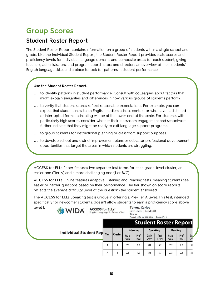## <span id="page-10-0"></span>**Group Scores**

## <span id="page-10-1"></span>**Student Roster Report**

The Student Roster Report contains information on a group of students within a single school and grade. Like the Individual Student Report, the Student Roster Report provides scale scores and proficiency levels for individual language domains and composite areas for each student, giving teachers, administrators, and program coordinators and directors an overview of their students' English language skills and a place to look for patterns in student performance.

#### **Use the Student Roster Report…**

- **…** to identify patterns in student performance. Consult with colleagues about factors that might explain similarities and differences in how various groups of students perform.
- **…** to verify that student scores reflect reasonable expectations. For example, you can expect that students new to an English medium school context or who have had limited or interrupted formal schooling will be at the lower end of the scale. For students with particularly high scores, consider whether their classroom engagement and schoolwork further indicate that they might be ready to exit language support programs.
- **…** to group students for instructional planning or classroom support purposes.
- **…** to develop school and district improvement plans or educator professional development opportunities that target the areas in which students are struggling.

ACCESS for ELLs Paper features two separate test forms for each grade-level cluster, an easier one (Tier A) and a more challenging one (Tier B/C).

<span id="page-10-2"></span>ACCESS for ELLs Online features adaptive Listening and Reading tests, meaning students see easier or harder questions based on their performance. The tier shown on score reports reflects the average difficulty level of the questions the student answered.

The ACCESS for ELLs Speaking test is unique in offering a Pre-Tier A level. This test, intended specifically for newcomer students, doesn't allow students to earn a proficiency score above

| level 1. | <b>WIDA</b><br><b>ACCESS for ELLs<sup>®</sup></b><br>English Language Proficiency Test |             |                |                | <b>Torres, Carlos</b><br>Birth Date:   Grade: 04<br>Tier: A<br>District ID: WS99999   State ID: 1 |                              |                 |                |               |            |
|----------|----------------------------------------------------------------------------------------|-------------|----------------|----------------|---------------------------------------------------------------------------------------------------|------------------------------|-----------------|----------------|---------------|------------|
|          |                                                                                        |             |                |                | <b>Listening</b>                                                                                  | <b>Student Roster Report</b> | <b>Speaking</b> |                | Reading       |            |
|          | <b>Individual Student Rep</b>                                                          | <b>Tier</b> | <b>Cluster</b> | Scale<br>Score | Prof<br>Level                                                                                     | Scale<br>Score               | Prof<br>Level   | Scale<br>Score | Prof<br>Level | Sca<br>Sco |
|          |                                                                                        | А           |                | 352            | 6.0                                                                                               | 391                          | 5.7             | 352            | 6.0           | 31         |
|          |                                                                                        | А           |                | 228            | 1.9                                                                                               | 391                          | 5.7             | 273            | 2.4           | 36         |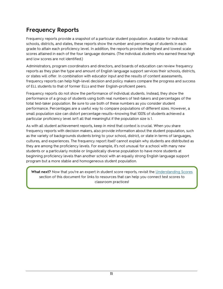## **Frequency Reports**

Frequency reports provide a snapshot of a particular student population. Available for individual schools, districts, and states, these reports show the number and percentage of students in each grade to attain each proficiency level. In addition, the reports provide the highest and lowest scale scores attained in each of the four language domains. (The individual students who earned these high and low scores are not identified.)

Administrators, program coordinators and directors, and boards of education can review frequency reports as they plan the type and amount of English language support services their schools, districts, or states will offer. In combination with educator input and the results of content assessments, frequency reports can help high-level decision and policy makers compare the progress and success of ELL students to that of former ELLs and their English-proficient peers.

Frequency reports do not show the performance of individual students. Instead, they show the performance of a group of students using both real numbers of test-takers and percentages of the total test-taker population. Be sure to use both of these numbers as you consider student performance. Percentages are a useful way to compare populations of different sizes. However, a small population size can distort percentage results—knowing that 100% of students achieved a particular proficiency level isn't all that meaningful if the population size is 1.

As with all student achievement reports, keep in mind that context is crucial. When you share frequency reports with decision makers, also provide information about the student population, such as the variety of backgrounds students bring to your school, district, or state in terms of languages, cultures, and experiences. The frequency report itself cannot explain why students are distributed as they are among the proficiency levels. For example, it's not unusual for a school with many new students or a particularly mobile or linguistically diverse population to have more students at beginning proficiency levels than another school with an equally strong English language support program but a more stable and homogeneous student population.

What next? Now that you're an expert in student score reports, revisit the [Understanding Scores](#page-2-1) section of this document for links to resources that can help you connect test scores to classroom practices!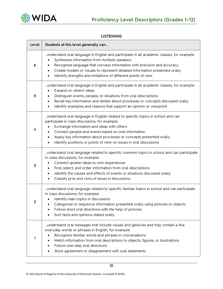

#### <span id="page-12-0"></span>**LISTENING**

| Level | Students at this level generally can                                                                                                                                                                                                                                                                                                                                                                               |  |  |  |  |
|-------|--------------------------------------------------------------------------------------------------------------------------------------------------------------------------------------------------------------------------------------------------------------------------------------------------------------------------------------------------------------------------------------------------------------------|--|--|--|--|
| 6     | understand oral language in English and participate in all academic classes, for example:<br>Synthesize information from multiple speakers<br>$\bullet$<br>Recognize language that conveys information with precision and accuracy<br>$\bullet$<br>Create models or visuals to represent detailed information presented orally<br>$\bullet$<br>Identify strengths and limitations of different points of view<br>٠ |  |  |  |  |
| 5     | understand oral language in English and participate in all academic classes, for example:<br>Expand on others' ideas<br>$\bullet$<br>Distinguish events, people, or situations from oral descriptions<br>$\bullet$<br>Recall key information and details about processes or concepts discussed orally<br>$\bullet$<br>Identify examples and reasons that support an opinion or viewpoint<br>$\bullet$              |  |  |  |  |
| 4     | understand oral language in English related to specific topics in school and can<br>participate in class discussions, for example:<br>Exchange information and ideas with others<br>Connect people and events based on oral information<br>٠<br>Apply key information about processes or concepts presented orally<br>$\bullet$<br>Identify positions or points of view on issues in oral discussions              |  |  |  |  |
| 3     | understand oral language related to specific common topics in school and can participate<br>in class discussions, for example:<br>Connect spoken ideas to own experiences<br>Find, select, and order information from oral descriptions<br>٠<br>Identify the causes and effects of events or situations discussed orally<br>٠<br>Classify pros and cons of issues in discussions<br>$\bullet$                      |  |  |  |  |
|       | understand oral language related to specific familiar topics in school and can participate<br>in class discussions, for example:<br>Identify main topics in discussions<br>Categorize or sequence information presented orally using pictures or objects<br>Follow short oral directions with the help of pictures<br>Sort facts and opinions stated orally                                                        |  |  |  |  |
| 1     | understand oral messages that include visuals and gestures and may contain a few<br>everyday words or phrases in English, for example:<br>Recognize familiar words and phrases in conversations<br>٠<br>Match information from oral descriptions to objects, figures, or illustrations<br>Follow one-step oral directions<br>Show agreement or disagreement with oral statements                                   |  |  |  |  |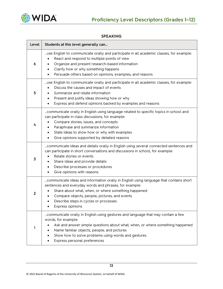

| Level          | Students at this level generally can                                                                                                                                                                                                                                                                                                       |
|----------------|--------------------------------------------------------------------------------------------------------------------------------------------------------------------------------------------------------------------------------------------------------------------------------------------------------------------------------------------|
| 6              | use English to communicate orally and participate in all academic classes, for example:<br>React and respond to multiple points of view<br>Organize and present research-based information<br>Clarify how or why something happens<br>$\bullet$<br>Persuade others based on opinions, examples, and reasons                                |
| 5              | use English to communicate orally and participate in all academic classes, for example:<br>Discuss the causes and impact of events<br>Summarize and relate information<br>Present and justify ideas showing how or why<br>$\bullet$<br>Express and defend opinions backed by examples and reasons                                          |
| 4              | communicate orally in English using language related to specific topics in school and<br>can participate in class discussions, for example:<br>Compare stories, issues, and concepts<br>٠<br>Paraphrase and summarize information<br>٠<br>State ideas to show how or why with examples<br>٠<br>Give opinions supported by detailed reasons |
| $\overline{3}$ | communicate ideas and details orally in English using several connected sentences and<br>can participate in short conversations and discussions in school, for example:<br>Relate stories or events<br>Share ideas and provide details<br>$\bullet$<br>Describe processes or procedures<br>٠<br>Give opinions with reasons<br>٠            |
| $\mathbf{2}$   | communicate ideas and information orally in English using language that contains short<br>sentences and everyday words and phrases, for example:<br>Share about what, when, or where something happened<br>Compare objects, people, pictures, and events<br>٠<br>Describe steps in cycles or processes<br>٠<br>Express opinions            |
| 1              | communicate orally in English using gestures and language that may contain a few<br>words, for example:<br>Ask and answer simple questions about what, when, or where something happened<br>٠<br>Name familiar objects, people, and pictures<br>Show how to solve problems using words and gestures<br>Express personal preferences        |

#### **SPEAKING**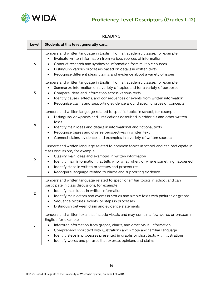

#### **READING**

| Level          | Students at this level generally can                                                                                                                                                                                                                                                                                                                                                                                         |
|----------------|------------------------------------------------------------------------------------------------------------------------------------------------------------------------------------------------------------------------------------------------------------------------------------------------------------------------------------------------------------------------------------------------------------------------------|
| 6              | understand written language in English from all academic classes, for example:<br>Evaluate written information from various sources of information<br>Conduct research and synthesize information from multiple sources<br>Distinguish various processes based on details in written texts<br>٠<br>Recognize different ideas, claims, and evidence about a variety of issues                                                 |
| 5              | understand written language in English from all academic classes, for example:<br>Summarize information on a variety of topics and for a variety of purposes<br>Compare ideas and information across various texts<br>٠<br>Identify causes, effects, and consequences of events from written information<br>Recognize claims and supporting evidence around specific issues or concepts                                      |
| 4              | understand written language related to specific topics in school, for example:<br>Distinguish viewpoints and justifications described in editorials and other written<br>$\bullet$<br>texts<br>Identify main ideas and details in informational and fictional texts<br>Recognize biases and diverse perspectives in written text<br>٠<br>Connect claims, evidence, and examples in a variety of written sources              |
| $\overline{3}$ | understand written language related to common topics in school and can participate in<br>class discussions, for example:<br>Classify main ideas and examples in written information<br>Identify main information that tells who, what, when, or where something happened<br>$\bullet$<br>Identify steps in written processes and procedures<br>٠<br>Recognize language related to claims and supporting evidence<br>٠        |
| $\mathbf{2}$   | understand written language related to specific familiar topics in school and can<br>participate in class discussions, for example:<br>Identify main ideas in written information<br>Identify main actors and events in stories and simple texts with pictures or graphs<br>٠<br>Sequence pictures, events, or steps in processes<br>Distinguish between claim and evidence statements                                       |
|                | understand written texts that include visuals and may contain a few words or phrases in<br>English, for example:<br>Interpret information from graphs, charts, and other visual information<br>Comprehend short text with illustrations and simple and familiar language<br>Identify steps in processes presented in graphs or short texts with illustrations<br>Identify words and phrases that express opinions and claims |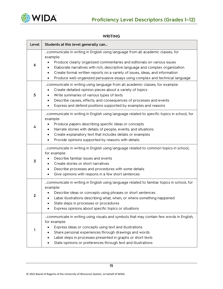

#### **WRITING**

| Level        | Students at this level generally can                                                                                                                                                                                                                                                                                                                                                                                                       |  |  |  |  |  |
|--------------|--------------------------------------------------------------------------------------------------------------------------------------------------------------------------------------------------------------------------------------------------------------------------------------------------------------------------------------------------------------------------------------------------------------------------------------------|--|--|--|--|--|
| 6            | communicate in writing in English using language from all academic classes, for<br>example:<br>Produce clearly organized commentaries and editorials on various issues<br>Elaborate narratives with rich, descriptive language and complex organization<br>Create formal written reports on a variety of issues, ideas, and information<br>٠<br>Produce well-organized persuasive essays using complex and technical language<br>$\bullet$ |  |  |  |  |  |
| 5            | communicate in writing using language from all academic classes, for example:<br>Create detailed opinion pieces about a variety of topics<br>٠<br>Write summaries of various types of texts<br>Describe causes, effects, and consequences of processes and events<br>$\bullet$<br>Express and defend positions supported by examples and reasons<br>$\bullet$                                                                              |  |  |  |  |  |
| 4            | communicate in writing in English using language related to specific topics in school, for<br>example:<br>Produce papers describing specific ideas or concepts<br>Narrate stories with details of people, events, and situations<br>Create explanatory text that includes details or examples<br>٠<br>Provide opinions supported by reasons with details<br>$\bullet$                                                                      |  |  |  |  |  |
| 3            | communicate in writing in English using language related to common topics in school,<br>for example:<br>Describe familiar issues and events<br>Create stories or short narratives<br>$\bullet$<br>Describe processes and procedures with some details<br>٠<br>Give opinions with reasons in a few short sentences<br>$\bullet$                                                                                                             |  |  |  |  |  |
| $\mathbf{2}$ | communicate in writing in English using language related to familiar topics in school, for<br>example:<br>Describe ideas or concepts using phrases or short sentences<br>Label illustrations describing what, when, or where something happened<br>٠<br>State steps in processes or procedures<br>Express opinions about specific topics or situations                                                                                     |  |  |  |  |  |
| 1            | communicate in writing using visuals and symbols that may contain few words in English,<br>for example:<br>Express ideas or concepts using text and illustrations<br>Share personal experiences through drawings and words<br>Label steps in processes presented in graphs or short texts<br>٠<br>State opinions or preferences through text and illustrations                                                                             |  |  |  |  |  |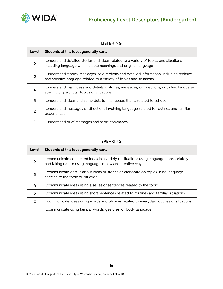

#### **LISTENING**

| Level | Students at this level generally can                                                                                                                             |
|-------|------------------------------------------------------------------------------------------------------------------------------------------------------------------|
| 6     | understand detailed stories and ideas related to a variety of topics and situations,<br>including language with multiple meanings and original language          |
| 5     | understand stories, messages, or directions and detailed information, including technical<br>and specific language related to a variety of topics and situations |
| 4     | understand main ideas and details in stories, messages, or directions, including language<br>specific to particular topics or situations                         |
| 3     | understand ideas and some details in language that is related to school                                                                                          |
| 2     | understand messages or directions involving language related to routines and familiar<br>experiences                                                             |
|       | understand brief messages and short commands                                                                                                                     |

#### **SPEAKING**

| Level          | Students at this level generally can                                                                                                               |
|----------------|----------------------------------------------------------------------------------------------------------------------------------------------------|
| 6              | communicate connected ideas in a variety of situations using language appropriately<br>and taking risks in using language in new and creative ways |
| 5              | specific to the topic or situation                                                                                                                 |
| 4              | communicate ideas using a series of sentences related to the topic                                                                                 |
| 3              | communicate ideas using short sentences related to routines and familiar situations                                                                |
| $\overline{2}$ | communicate ideas using words and phrases related to everyday routines or situations                                                               |
|                | communicate using familiar words, gestures, or body language                                                                                       |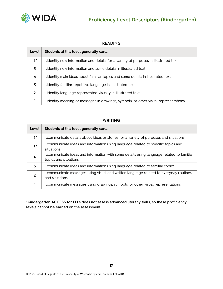

| Level         | Students at this level generally can                                               |
|---------------|------------------------------------------------------------------------------------|
| $6*$          | dentify new information and details for a variety of purposes in illustrated text  |
| 5             | identify new information and some details in illustrated text                      |
| 4             | identify main ideas about familiar topics and some details in illustrated text     |
| 3             | identify familiar repetitive language in illustrated text                          |
| $\mathcal{P}$ | identify language represented visually in illustrated text                         |
|               | identify meaning or messages in drawings, symbols, or other visual representations |

#### **READING**

#### **WRITING**

| Level       | Students at this level generally can                                                                  |
|-------------|-------------------------------------------------------------------------------------------------------|
| $6*$        | communicate details about ideas or stories for a variety of purposes and situations                   |
| $5*$        | communicate ideas and information using language related to specific topics and<br>situations         |
| 4           | topics and situations                                                                                 |
| 3           | communicate ideas and information using language related to familiar topics                           |
| $\mathbf 2$ | communicate messages using visual and written language related to everyday routines<br>and situations |
|             | communicate messages using drawings, symbols, or other visual representations                         |

**\*Kindergarten ACCESS for ELLs does not assess advanced literacy skills, so these proficiency levels cannot be earned on the assessment.**